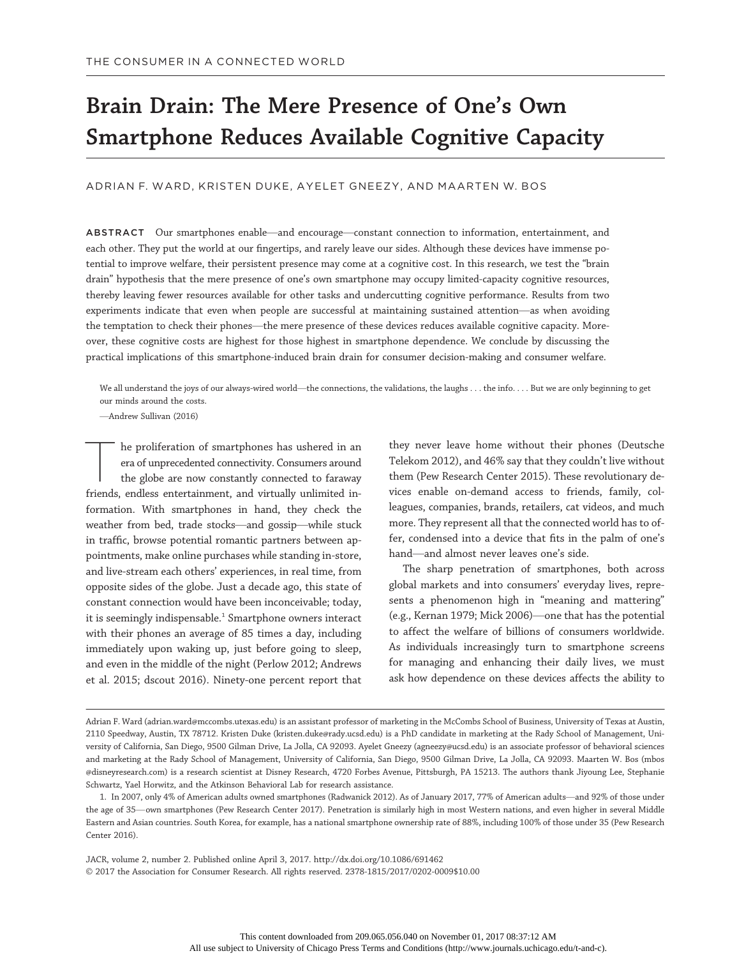# Brain Drain: The Mere Presence of One's Own Smartphone Reduces Available Cognitive Capacity

## ADRIAN F. WARD, KRISTEN DUKE, AYELET GNEEZY, AND MAARTEN W. BOS

ABSTRACT Our smartphones enable—and encourage—constant connection to information, entertainment, and each other. They put the world at our fingertips, and rarely leave our sides. Although these devices have immense potential to improve welfare, their persistent presence may come at a cognitive cost. In this research, we test the "brain drain" hypothesis that the mere presence of one's own smartphone may occupy limited-capacity cognitive resources, thereby leaving fewer resources available for other tasks and undercutting cognitive performance. Results from two experiments indicate that even when people are successful at maintaining sustained attention—as when avoiding the temptation to check their phones—the mere presence of these devices reduces available cognitive capacity. Moreover, these cognitive costs are highest for those highest in smartphone dependence. We conclude by discussing the practical implications of this smartphone-induced brain drain for consumer decision-making and consumer welfare.

We all understand the joys of our always-wired world—the connections, the validations, the laughs . . . the info. . . . But we are only beginning to get our minds around the costs.

—Andrew Sullivan (2016)

The proliferation of smartphones has ushered in an era of unprecedented connectivity. Consumers around the globe are now constantly connected to faraway era of unprecedented connectivity. Consumers around the globe are now constantly connected to faraway friends, endless entertainment, and virtually unlimited information. With smartphones in hand, they check the weather from bed, trade stocks—and gossip—while stuck in traffic, browse potential romantic partners between appointments, make online purchases while standing in-store, and live-stream each others' experiences, in real time, from opposite sides of the globe. Just a decade ago, this state of constant connection would have been inconceivable; today, it is seemingly indispensable.<sup>1</sup> Smartphone owners interact with their phones an average of 85 times a day, including immediately upon waking up, just before going to sleep, and even in the middle of the night (Perlow 2012; Andrews et al. 2015; dscout 2016). Ninety-one percent report that

they never leave home without their phones (Deutsche Telekom 2012), and 46% say that they couldn't live without them (Pew Research Center 2015). These revolutionary devices enable on-demand access to friends, family, colleagues, companies, brands, retailers, cat videos, and much more. They represent all that the connected world has to offer, condensed into a device that fits in the palm of one's hand—and almost never leaves one's side.

The sharp penetration of smartphones, both across global markets and into consumers' everyday lives, represents a phenomenon high in "meaning and mattering" (e.g., Kernan 1979; Mick 2006)—one that has the potential to affect the welfare of billions of consumers worldwide. As individuals increasingly turn to smartphone screens for managing and enhancing their daily lives, we must ask how dependence on these devices affects the ability to

Adrian F. Ward (adrian.ward@mccombs.utexas.edu) is an assistant professor of marketing in the McCombs School of Business, University of Texas at Austin, 2110 Speedway, Austin, TX 78712. Kristen Duke (kristen.duke@rady.ucsd.edu) is a PhD candidate in marketing at the Rady School of Management, University of California, San Diego, 9500 Gilman Drive, La Jolla, CA 92093. Ayelet Gneezy (agneezy@ucsd.edu) is an associate professor of behavioral sciences and marketing at the Rady School of Management, University of California, San Diego, 9500 Gilman Drive, La Jolla, CA 92093. Maarten W. Bos (mbos @disneyresearch.com) is a research scientist at Disney Research, 4720 Forbes Avenue, Pittsburgh, PA 15213. The authors thank Jiyoung Lee, Stephanie Schwartz, Yael Horwitz, and the Atkinson Behavioral Lab for research assistance.

<sup>1.</sup> In 2007, only 4% of American adults owned smartphones (Radwanick 2012). As of January 2017, 77% of American adults—and 92% of those under the age of 35—own smartphones (Pew Research Center 2017). Penetration is similarly high in most Western nations, and even higher in several Middle Eastern and Asian countries. South Korea, for example, has a national smartphone ownership rate of 88%, including 100% of those under 35 (Pew Research Center 2016).

JACR, volume 2, number 2. Published online April 3, 2017. http://dx.doi.org/10.1086/691462 © 2017 the Association for Consumer Research. All rights reserved. 2378-1815/2017/0202-0009\$10.00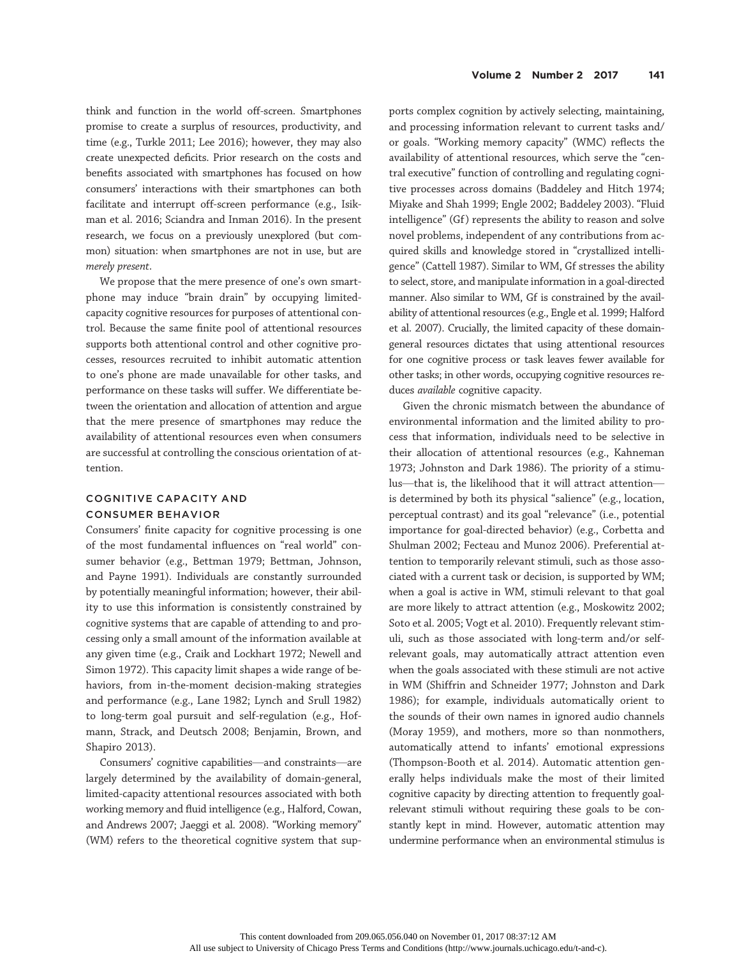think and function in the world off-screen. Smartphones promise to create a surplus of resources, productivity, and time (e.g., Turkle 2011; Lee 2016); however, they may also create unexpected deficits. Prior research on the costs and benefits associated with smartphones has focused on how consumers' interactions with their smartphones can both facilitate and interrupt off-screen performance (e.g., Isikman et al. 2016; Sciandra and Inman 2016). In the present research, we focus on a previously unexplored (but common) situation: when smartphones are not in use, but are merely present.

We propose that the mere presence of one's own smartphone may induce "brain drain" by occupying limitedcapacity cognitive resources for purposes of attentional control. Because the same finite pool of attentional resources supports both attentional control and other cognitive processes, resources recruited to inhibit automatic attention to one's phone are made unavailable for other tasks, and performance on these tasks will suffer. We differentiate between the orientation and allocation of attention and argue that the mere presence of smartphones may reduce the availability of attentional resources even when consumers are successful at controlling the conscious orientation of attention.

# COGNITIVE CAPACITY AND CONSUMER BEHAVIOR

Consumers' finite capacity for cognitive processing is one of the most fundamental influences on "real world" consumer behavior (e.g., Bettman 1979; Bettman, Johnson, and Payne 1991). Individuals are constantly surrounded by potentially meaningful information; however, their ability to use this information is consistently constrained by cognitive systems that are capable of attending to and processing only a small amount of the information available at any given time (e.g., Craik and Lockhart 1972; Newell and Simon 1972). This capacity limit shapes a wide range of behaviors, from in-the-moment decision-making strategies and performance (e.g., Lane 1982; Lynch and Srull 1982) to long-term goal pursuit and self-regulation (e.g., Hofmann, Strack, and Deutsch 2008; Benjamin, Brown, and Shapiro 2013).

Consumers' cognitive capabilities—and constraints—are largely determined by the availability of domain-general, limited-capacity attentional resources associated with both working memory and fluid intelligence (e.g., Halford, Cowan, and Andrews 2007; Jaeggi et al. 2008). "Working memory" (WM) refers to the theoretical cognitive system that sup-

ports complex cognition by actively selecting, maintaining, and processing information relevant to current tasks and/ or goals. "Working memory capacity" (WMC) reflects the availability of attentional resources, which serve the "central executive" function of controlling and regulating cognitive processes across domains (Baddeley and Hitch 1974; Miyake and Shah 1999; Engle 2002; Baddeley 2003). "Fluid intelligence" (Gf) represents the ability to reason and solve novel problems, independent of any contributions from acquired skills and knowledge stored in "crystallized intelligence" (Cattell 1987). Similar to WM, Gf stresses the ability to select, store, and manipulate information in a goal-directed manner. Also similar to WM, Gf is constrained by the availability of attentional resources (e.g., Engle et al. 1999; Halford et al. 2007). Crucially, the limited capacity of these domaingeneral resources dictates that using attentional resources for one cognitive process or task leaves fewer available for other tasks; in other words, occupying cognitive resources reduces available cognitive capacity.

Given the chronic mismatch between the abundance of environmental information and the limited ability to process that information, individuals need to be selective in their allocation of attentional resources (e.g., Kahneman 1973; Johnston and Dark 1986). The priority of a stimulus—that is, the likelihood that it will attract attention is determined by both its physical "salience" (e.g., location, perceptual contrast) and its goal "relevance" (i.e., potential importance for goal-directed behavior) (e.g., Corbetta and Shulman 2002; Fecteau and Munoz 2006). Preferential attention to temporarily relevant stimuli, such as those associated with a current task or decision, is supported by WM; when a goal is active in WM, stimuli relevant to that goal are more likely to attract attention (e.g., Moskowitz 2002; Soto et al. 2005; Vogt et al. 2010). Frequently relevant stimuli, such as those associated with long-term and/or selfrelevant goals, may automatically attract attention even when the goals associated with these stimuli are not active in WM (Shiffrin and Schneider 1977; Johnston and Dark 1986); for example, individuals automatically orient to the sounds of their own names in ignored audio channels (Moray 1959), and mothers, more so than nonmothers, automatically attend to infants' emotional expressions (Thompson-Booth et al. 2014). Automatic attention generally helps individuals make the most of their limited cognitive capacity by directing attention to frequently goalrelevant stimuli without requiring these goals to be constantly kept in mind. However, automatic attention may undermine performance when an environmental stimulus is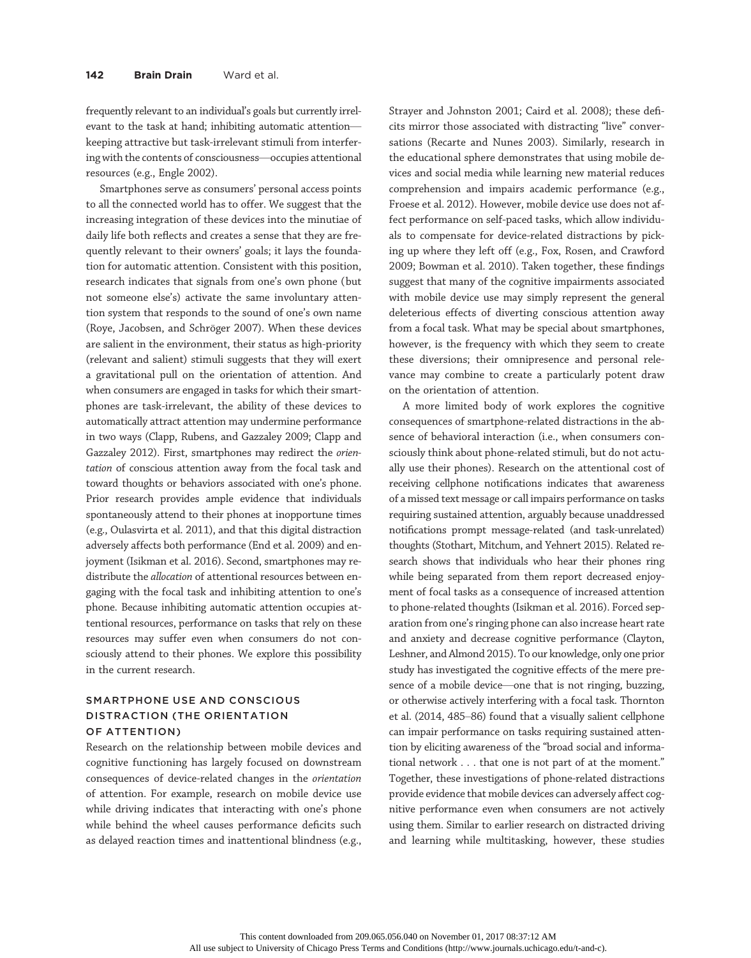frequently relevant to an individual's goals but currently irrelevant to the task at hand; inhibiting automatic attention keeping attractive but task-irrelevant stimuli from interfering with the contents of consciousness—occupies attentional resources (e.g., Engle 2002).

Smartphones serve as consumers' personal access points to all the connected world has to offer. We suggest that the increasing integration of these devices into the minutiae of daily life both reflects and creates a sense that they are frequently relevant to their owners' goals; it lays the foundation for automatic attention. Consistent with this position, research indicates that signals from one's own phone ( but not someone else's) activate the same involuntary attention system that responds to the sound of one's own name (Roye, Jacobsen, and Schröger 2007). When these devices are salient in the environment, their status as high-priority (relevant and salient) stimuli suggests that they will exert a gravitational pull on the orientation of attention. And when consumers are engaged in tasks for which their smartphones are task-irrelevant, the ability of these devices to automatically attract attention may undermine performance in two ways (Clapp, Rubens, and Gazzaley 2009; Clapp and Gazzaley 2012). First, smartphones may redirect the orientation of conscious attention away from the focal task and toward thoughts or behaviors associated with one's phone. Prior research provides ample evidence that individuals spontaneously attend to their phones at inopportune times (e.g., Oulasvirta et al. 2011), and that this digital distraction adversely affects both performance (End et al. 2009) and enjoyment (Isikman et al. 2016). Second, smartphones may redistribute the allocation of attentional resources between engaging with the focal task and inhibiting attention to one's phone. Because inhibiting automatic attention occupies attentional resources, performance on tasks that rely on these resources may suffer even when consumers do not consciously attend to their phones. We explore this possibility in the current research.

## SMARTPHONE USE AND CONSCIOUS DISTRACTION (THE ORIENTATION OF ATTENTION)

Research on the relationship between mobile devices and cognitive functioning has largely focused on downstream consequences of device-related changes in the orientation of attention. For example, research on mobile device use while driving indicates that interacting with one's phone while behind the wheel causes performance deficits such as delayed reaction times and inattentional blindness (e.g.,

Strayer and Johnston 2001; Caird et al. 2008); these deficits mirror those associated with distracting "live" conversations (Recarte and Nunes 2003). Similarly, research in the educational sphere demonstrates that using mobile devices and social media while learning new material reduces comprehension and impairs academic performance (e.g., Froese et al. 2012). However, mobile device use does not affect performance on self-paced tasks, which allow individuals to compensate for device-related distractions by picking up where they left off (e.g., Fox, Rosen, and Crawford 2009; Bowman et al. 2010). Taken together, these findings suggest that many of the cognitive impairments associated with mobile device use may simply represent the general deleterious effects of diverting conscious attention away from a focal task. What may be special about smartphones, however, is the frequency with which they seem to create these diversions; their omnipresence and personal relevance may combine to create a particularly potent draw on the orientation of attention.

A more limited body of work explores the cognitive consequences of smartphone-related distractions in the absence of behavioral interaction (i.e., when consumers consciously think about phone-related stimuli, but do not actually use their phones). Research on the attentional cost of receiving cellphone notifications indicates that awareness of a missed text message or call impairs performance on tasks requiring sustained attention, arguably because unaddressed notifications prompt message-related (and task-unrelated) thoughts (Stothart, Mitchum, and Yehnert 2015). Related research shows that individuals who hear their phones ring while being separated from them report decreased enjoyment of focal tasks as a consequence of increased attention to phone-related thoughts (Isikman et al. 2016). Forced separation from one's ringing phone can also increase heart rate and anxiety and decrease cognitive performance (Clayton, Leshner, and Almond 2015). To our knowledge, only one prior study has investigated the cognitive effects of the mere presence of a mobile device—one that is not ringing, buzzing, or otherwise actively interfering with a focal task. Thornton et al. (2014, 485–86) found that a visually salient cellphone can impair performance on tasks requiring sustained attention by eliciting awareness of the "broad social and informational network ... that one is not part of at the moment." Together, these investigations of phone-related distractions provide evidence that mobile devices can adversely affect cognitive performance even when consumers are not actively using them. Similar to earlier research on distracted driving and learning while multitasking, however, these studies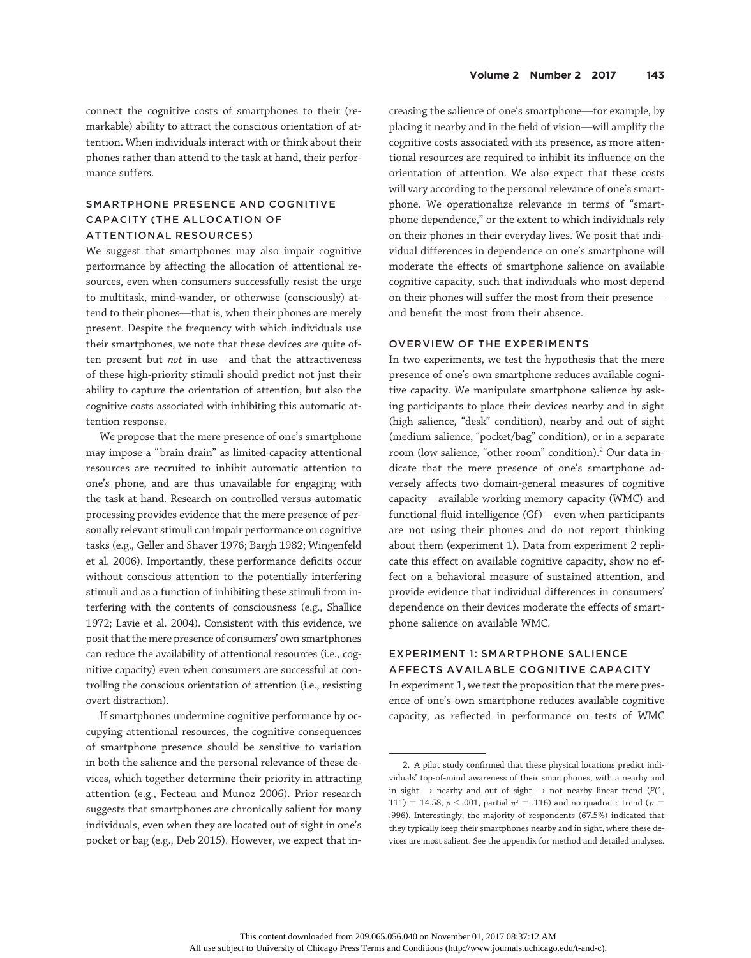connect the cognitive costs of smartphones to their (remarkable) ability to attract the conscious orientation of attention. When individuals interact with or think about their phones rather than attend to the task at hand, their performance suffers.

# SMARTPHONE PRESENCE AND COGNITIVE CAPACITY (THE ALLOCATION OF ATTENTIONAL RESOURCES)

We suggest that smartphones may also impair cognitive performance by affecting the allocation of attentional resources, even when consumers successfully resist the urge to multitask, mind-wander, or otherwise (consciously) attend to their phones—that is, when their phones are merely present. Despite the frequency with which individuals use their smartphones, we note that these devices are quite often present but not in use—and that the attractiveness of these high-priority stimuli should predict not just their ability to capture the orientation of attention, but also the cognitive costs associated with inhibiting this automatic attention response.

We propose that the mere presence of one's smartphone may impose a "brain drain" as limited-capacity attentional resources are recruited to inhibit automatic attention to one's phone, and are thus unavailable for engaging with the task at hand. Research on controlled versus automatic processing provides evidence that the mere presence of personally relevant stimuli can impair performance on cognitive tasks (e.g., Geller and Shaver 1976; Bargh 1982; Wingenfeld et al. 2006). Importantly, these performance deficits occur without conscious attention to the potentially interfering stimuli and as a function of inhibiting these stimuli from interfering with the contents of consciousness (e.g., Shallice 1972; Lavie et al. 2004). Consistent with this evidence, we posit that the mere presence of consumers' own smartphones can reduce the availability of attentional resources (i.e., cognitive capacity) even when consumers are successful at controlling the conscious orientation of attention (i.e., resisting overt distraction).

If smartphones undermine cognitive performance by occupying attentional resources, the cognitive consequences of smartphone presence should be sensitive to variation in both the salience and the personal relevance of these devices, which together determine their priority in attracting attention (e.g., Fecteau and Munoz 2006). Prior research suggests that smartphones are chronically salient for many individuals, even when they are located out of sight in one's pocket or bag (e.g., Deb 2015). However, we expect that in-

creasing the salience of one's smartphone—for example, by placing it nearby and in the field of vision—will amplify the cognitive costs associated with its presence, as more attentional resources are required to inhibit its influence on the orientation of attention. We also expect that these costs will vary according to the personal relevance of one's smartphone. We operationalize relevance in terms of "smartphone dependence," or the extent to which individuals rely on their phones in their everyday lives. We posit that individual differences in dependence on one's smartphone will moderate the effects of smartphone salience on available cognitive capacity, such that individuals who most depend on their phones will suffer the most from their presence and benefit the most from their absence.

## OVERVIEW OF THE EXPERIMENTS

In two experiments, we test the hypothesis that the mere presence of one's own smartphone reduces available cognitive capacity. We manipulate smartphone salience by asking participants to place their devices nearby and in sight (high salience, "desk" condition), nearby and out of sight (medium salience, "pocket/bag" condition), or in a separate room (low salience, "other room" condition).2 Our data indicate that the mere presence of one's smartphone adversely affects two domain-general measures of cognitive capacity—available working memory capacity (WMC) and functional fluid intelligence (Gf)—even when participants are not using their phones and do not report thinking about them (experiment 1). Data from experiment 2 replicate this effect on available cognitive capacity, show no effect on a behavioral measure of sustained attention, and provide evidence that individual differences in consumers' dependence on their devices moderate the effects of smartphone salience on available WMC.

## EXPERIMENT 1: SMARTPHONE SALIENCE AFFECTS AVAILABLE COGNITIVE CAPACITY

In experiment 1, we test the proposition that the mere presence of one's own smartphone reduces available cognitive capacity, as reflected in performance on tests of WMC

<sup>2.</sup> A pilot study confirmed that these physical locations predict individuals' top-of-mind awareness of their smartphones, with a nearby and in sight  $\rightarrow$  nearby and out of sight  $\rightarrow$  not nearby linear trend (F(1, 111) = 14.58,  $p < .001$ , partial  $\eta^2 = .116$ ) and no quadratic trend ( $p =$ .996). Interestingly, the majority of respondents (67.5%) indicated that they typically keep their smartphones nearby and in sight, where these devices are most salient. See the appendix for method and detailed analyses.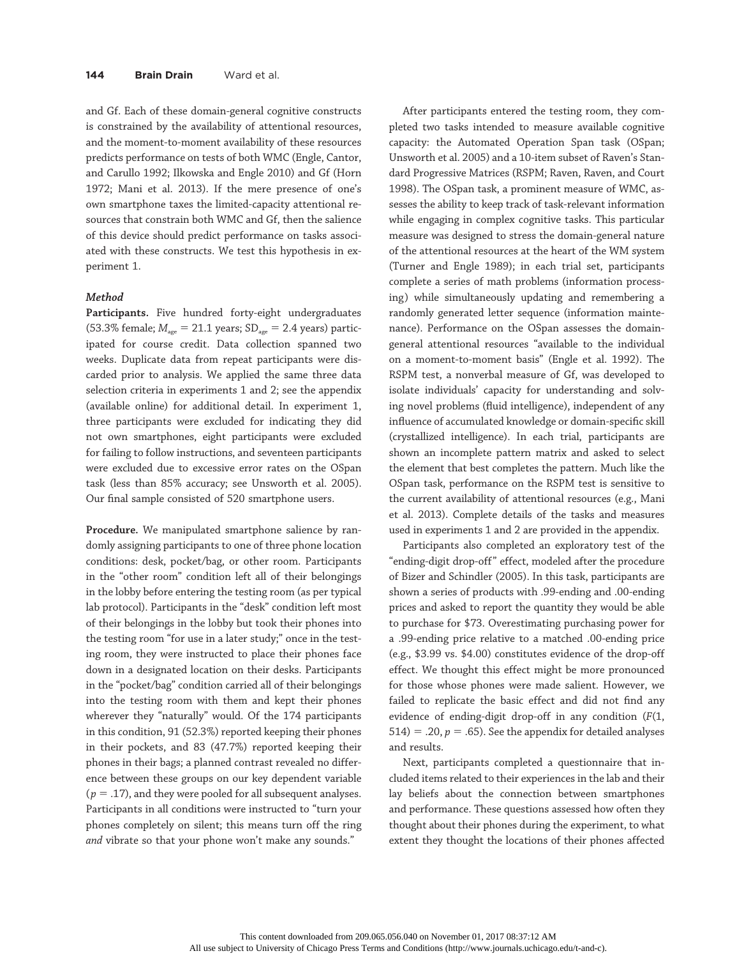and Gf. Each of these domain-general cognitive constructs is constrained by the availability of attentional resources, and the moment-to-moment availability of these resources predicts performance on tests of both WMC (Engle, Cantor, and Carullo 1992; Ilkowska and Engle 2010) and Gf (Horn 1972; Mani et al. 2013). If the mere presence of one's own smartphone taxes the limited-capacity attentional resources that constrain both WMC and Gf, then the salience of this device should predict performance on tasks associated with these constructs. We test this hypothesis in experiment 1.

#### Method

Participants. Five hundred forty-eight undergraduates (53.3% female;  $M_{\text{age}} = 21.1$  years;  $SD_{\text{age}} = 2.4$  years) participated for course credit. Data collection spanned two weeks. Duplicate data from repeat participants were discarded prior to analysis. We applied the same three data selection criteria in experiments 1 and 2; see the appendix (available online) for additional detail. In experiment 1, three participants were excluded for indicating they did not own smartphones, eight participants were excluded for failing to follow instructions, and seventeen participants were excluded due to excessive error rates on the OSpan task (less than 85% accuracy; see Unsworth et al. 2005). Our final sample consisted of 520 smartphone users.

Procedure. We manipulated smartphone salience by randomly assigning participants to one of three phone location conditions: desk, pocket/bag, or other room. Participants in the "other room" condition left all of their belongings in the lobby before entering the testing room (as per typical lab protocol). Participants in the "desk" condition left most of their belongings in the lobby but took their phones into the testing room "for use in a later study;" once in the testing room, they were instructed to place their phones face down in a designated location on their desks. Participants in the "pocket/bag" condition carried all of their belongings into the testing room with them and kept their phones wherever they "naturally" would. Of the 174 participants in this condition, 91 (52.3%) reported keeping their phones in their pockets, and 83 (47.7%) reported keeping their phones in their bags; a planned contrast revealed no difference between these groups on our key dependent variable  $(p = .17)$ , and they were pooled for all subsequent analyses. Participants in all conditions were instructed to "turn your phones completely on silent; this means turn off the ring and vibrate so that your phone won't make any sounds."

After participants entered the testing room, they completed two tasks intended to measure available cognitive capacity: the Automated Operation Span task (OSpan; Unsworth et al. 2005) and a 10-item subset of Raven's Standard Progressive Matrices (RSPM; Raven, Raven, and Court 1998). The OSpan task, a prominent measure of WMC, assesses the ability to keep track of task-relevant information while engaging in complex cognitive tasks. This particular measure was designed to stress the domain-general nature of the attentional resources at the heart of the WM system (Turner and Engle 1989); in each trial set, participants complete a series of math problems (information processing) while simultaneously updating and remembering a randomly generated letter sequence (information maintenance). Performance on the OSpan assesses the domaingeneral attentional resources "available to the individual on a moment-to-moment basis" (Engle et al. 1992). The RSPM test, a nonverbal measure of Gf, was developed to isolate individuals' capacity for understanding and solving novel problems (fluid intelligence), independent of any influence of accumulated knowledge or domain-specific skill (crystallized intelligence). In each trial, participants are shown an incomplete pattern matrix and asked to select the element that best completes the pattern. Much like the OSpan task, performance on the RSPM test is sensitive to the current availability of attentional resources (e.g., Mani et al. 2013). Complete details of the tasks and measures used in experiments 1 and 2 are provided in the appendix.

Participants also completed an exploratory test of the "ending-digit drop-off" effect, modeled after the procedure of Bizer and Schindler (2005). In this task, participants are shown a series of products with .99-ending and .00-ending prices and asked to report the quantity they would be able to purchase for \$73. Overestimating purchasing power for a .99-ending price relative to a matched .00-ending price (e.g., \$3.99 vs. \$4.00) constitutes evidence of the drop-off effect. We thought this effect might be more pronounced for those whose phones were made salient. However, we failed to replicate the basic effect and did not find any evidence of ending-digit drop-off in any condition (F(1, 514) = .20,  $p = .65$ ). See the appendix for detailed analyses and results.

Next, participants completed a questionnaire that included items related to their experiences in the lab and their lay beliefs about the connection between smartphones and performance. These questions assessed how often they thought about their phones during the experiment, to what extent they thought the locations of their phones affected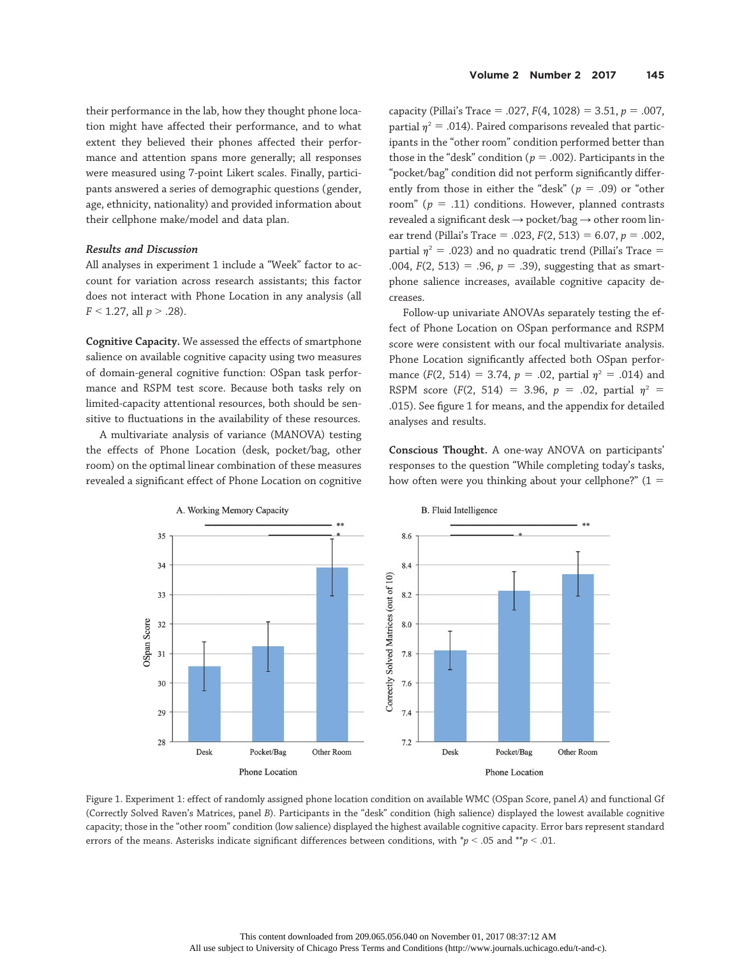their performance in the lab, how they thought phone location might have affected their performance, and to what extent they believed their phones affected their performance and attention spans more generally; all responses were measured using 7-point Likert scales. Finally, participants answered a series of demographic questions (gender, age, ethnicity, nationality) and provided information about their cellphone make/model and data plan.

### Results and Discussion

All analyses in experiment 1 include a "Week" factor to account for variation across research assistants; this factor does not interact with Phone Location in any analysis (all  $F < 1.27$ , all  $p > .28$ ).

Cognitive Capacity. We assessed the effects of smartphone salience on available cognitive capacity using two measures of domain-general cognitive function: OSpan task performance and RSPM test score. Because both tasks rely on limited-capacity attentional resources, both should be sensitive to fluctuations in the availability of these resources.

A multivariate analysis of variance (MANOVA) testing the effects of Phone Location (desk, pocket/bag, other room) on the optimal linear combination of these measures revealed a significant effect of Phone Location on cognitive

capacity (Pillai's Trace = .027,  $F(4, 1028) = 3.51, p = .007$ , partial  $\eta^2 = .014$ ). Paired comparisons revealed that participants in the "other room" condition performed better than those in the "desk" condition ( $p = .002$ ). Participants in the "pocket/bag" condition did not perform significantly differently from those in either the "desk" ( $p = .09$ ) or "other room" ( $p = .11$ ) conditions. However, planned contrasts revealed a significant desk  $\rightarrow$  pocket/bag  $\rightarrow$  other room linear trend (Pillai's Trace = .023,  $F(2, 513) = 6.07$ ,  $p = .002$ , partial  $\eta^2$  = .023) and no quadratic trend (Pillai's Trace = .004,  $F(2, 513) = .96$ ,  $p = .39$ ), suggesting that as smartphone salience increases, available cognitive capacity decreases.

Follow-up univariate ANOVAs separately testing the effect of Phone Location on OSpan performance and RSPM score were consistent with our focal multivariate analysis. Phone Location significantly affected both OSpan performance (F(2, 514) = 3.74,  $p = .02$ , partial  $\eta^2 = .014$ ) and RSPM score (F(2, 514) = 3.96,  $p = .02$ , partial  $\eta^2$  = .015). See figure 1 for means, and the appendix for detailed analyses and results.

Conscious Thought. A one-way ANOVA on participants' responses to the question "While completing today's tasks, how often were you thinking about your cellphone?"  $(1 =$ 



Figure 1. Experiment 1: effect of randomly assigned phone location condition on available WMC (OSpan Score, panel A) and functional Gf (Correctly Solved Raven's Matrices, panel B). Participants in the "desk" condition (high salience) displayed the lowest available cognitive capacity; those in the "other room" condition (low salience) displayed the highest available cognitive capacity. Error bars represent standard errors of the means. Asterisks indicate significant differences between conditions, with  $^*p < .05$  and  $^{**}p < .01$ .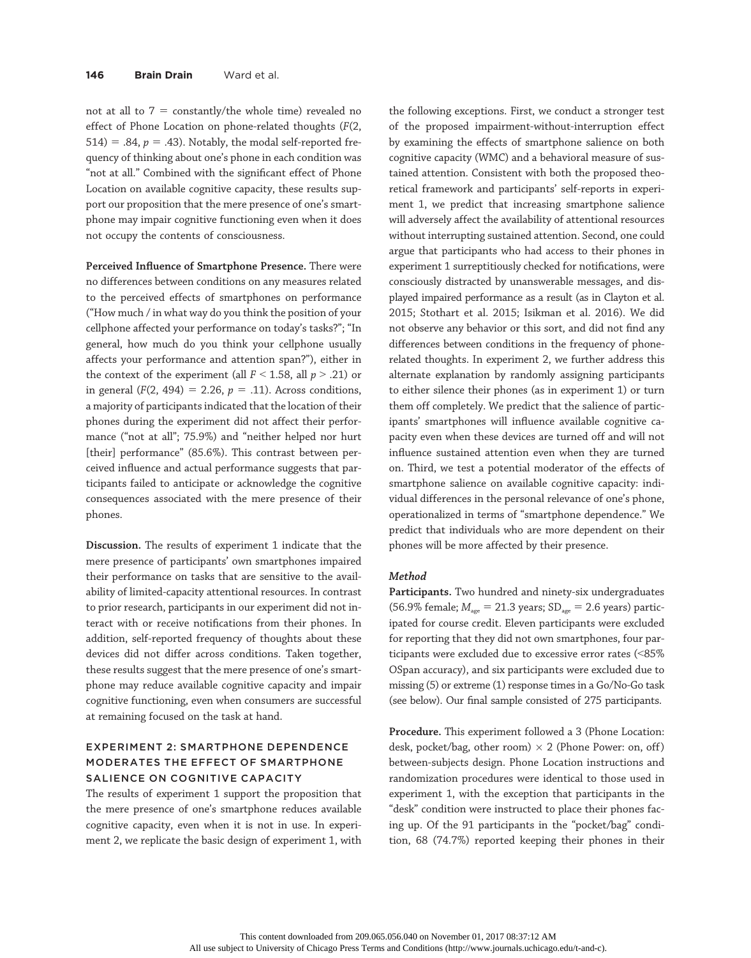not at all to  $7 =$  constantly/the whole time) revealed no effect of Phone Location on phone-related thoughts (F(2, 514) = .84,  $p = .43$ ). Notably, the modal self-reported frequency of thinking about one's phone in each condition was "not at all." Combined with the significant effect of Phone Location on available cognitive capacity, these results support our proposition that the mere presence of one's smartphone may impair cognitive functioning even when it does not occupy the contents of consciousness.

Perceived Influence of Smartphone Presence. There were no differences between conditions on any measures related to the perceived effects of smartphones on performance ("How much / in what way do you think the position of your cellphone affected your performance on today's tasks?"; "In general, how much do you think your cellphone usually affects your performance and attention span?"), either in the context of the experiment (all  $F < 1.58$ , all  $p > .21$ ) or in general ( $F(2, 494) = 2.26$ ,  $p = .11$ ). Across conditions, a majority of participants indicated that the location of their phones during the experiment did not affect their performance ("not at all"; 75.9%) and "neither helped nor hurt [their] performance" (85.6%). This contrast between perceived influence and actual performance suggests that participants failed to anticipate or acknowledge the cognitive consequences associated with the mere presence of their phones.

Discussion. The results of experiment 1 indicate that the mere presence of participants' own smartphones impaired their performance on tasks that are sensitive to the availability of limited-capacity attentional resources. In contrast to prior research, participants in our experiment did not interact with or receive notifications from their phones. In addition, self-reported frequency of thoughts about these devices did not differ across conditions. Taken together, these results suggest that the mere presence of one's smartphone may reduce available cognitive capacity and impair cognitive functioning, even when consumers are successful at remaining focused on the task at hand.

## EXPERIMENT 2: SMARTPHONE DEPENDENCE MODERATES THE EFFECT OF SMARTPHONE SALIENCE ON COGNITIVE CAPACITY

The results of experiment 1 support the proposition that the mere presence of one's smartphone reduces available cognitive capacity, even when it is not in use. In experiment 2, we replicate the basic design of experiment 1, with

the following exceptions. First, we conduct a stronger test of the proposed impairment-without-interruption effect by examining the effects of smartphone salience on both cognitive capacity (WMC) and a behavioral measure of sustained attention. Consistent with both the proposed theoretical framework and participants' self-reports in experiment 1, we predict that increasing smartphone salience will adversely affect the availability of attentional resources without interrupting sustained attention. Second, one could argue that participants who had access to their phones in experiment 1 surreptitiously checked for notifications, were consciously distracted by unanswerable messages, and displayed impaired performance as a result (as in Clayton et al. 2015; Stothart et al. 2015; Isikman et al. 2016). We did not observe any behavior or this sort, and did not find any differences between conditions in the frequency of phonerelated thoughts. In experiment 2, we further address this alternate explanation by randomly assigning participants to either silence their phones (as in experiment 1) or turn them off completely. We predict that the salience of participants' smartphones will influence available cognitive capacity even when these devices are turned off and will not influence sustained attention even when they are turned on. Third, we test a potential moderator of the effects of smartphone salience on available cognitive capacity: individual differences in the personal relevance of one's phone, operationalized in terms of "smartphone dependence." We predict that individuals who are more dependent on their phones will be more affected by their presence.

## Method

Participants. Two hundred and ninety-six undergraduates (56.9% female;  $M_{\text{age}} = 21.3$  years;  $SD_{\text{age}} = 2.6$  years) participated for course credit. Eleven participants were excluded for reporting that they did not own smartphones, four participants were excluded due to excessive error rates (<85% OSpan accuracy), and six participants were excluded due to missing (5) or extreme (1) response times in a Go/No-Go task (see below). Our final sample consisted of 275 participants.

Procedure. This experiment followed a 3 (Phone Location: desk, pocket/bag, other room)  $\times$  2 (Phone Power: on, off) between-subjects design. Phone Location instructions and randomization procedures were identical to those used in experiment 1, with the exception that participants in the "desk" condition were instructed to place their phones facing up. Of the 91 participants in the "pocket/bag" condition, 68 (74.7%) reported keeping their phones in their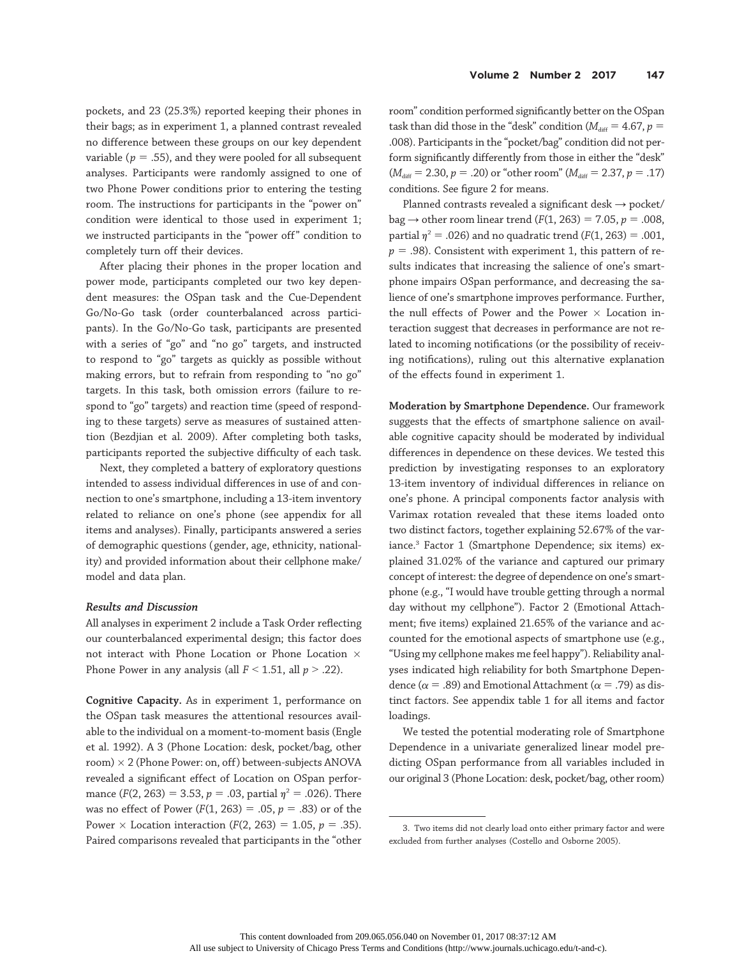pockets, and 23 (25.3%) reported keeping their phones in their bags; as in experiment 1, a planned contrast revealed no difference between these groups on our key dependent variable ( $p = .55$ ), and they were pooled for all subsequent analyses. Participants were randomly assigned to one of two Phone Power conditions prior to entering the testing room. The instructions for participants in the "power on" condition were identical to those used in experiment 1; we instructed participants in the "power off" condition to completely turn off their devices.

After placing their phones in the proper location and power mode, participants completed our two key dependent measures: the OSpan task and the Cue-Dependent Go/No-Go task (order counterbalanced across participants). In the Go/No-Go task, participants are presented with a series of "go" and "no go" targets, and instructed to respond to "go" targets as quickly as possible without making errors, but to refrain from responding to "no go" targets. In this task, both omission errors (failure to respond to "go" targets) and reaction time (speed of responding to these targets) serve as measures of sustained attention (Bezdjian et al. 2009). After completing both tasks, participants reported the subjective difficulty of each task.

Next, they completed a battery of exploratory questions intended to assess individual differences in use of and connection to one's smartphone, including a 13-item inventory related to reliance on one's phone (see appendix for all items and analyses). Finally, participants answered a series of demographic questions (gender, age, ethnicity, nationality) and provided information about their cellphone make/ model and data plan.

#### Results and Discussion

All analyses in experiment 2 include a Task Order reflecting our counterbalanced experimental design; this factor does not interact with Phone Location or Phone Location Phone Power in any analysis (all  $F < 1.51$ , all  $p > .22$ ).

Cognitive Capacity. As in experiment 1, performance on the OSpan task measures the attentional resources available to the individual on a moment-to-moment basis (Engle et al. 1992). A 3 (Phone Location: desk, pocket/bag, other room)  $\times$  2 (Phone Power: on, off) between-subjects ANOVA revealed a significant effect of Location on OSpan performance (F(2, 263) = 3.53,  $p = .03$ , partial  $\eta^2 = .026$ ). There was no effect of Power ( $F(1, 263) = .05$ ,  $p = .83$ ) or of the Power  $\times$  Location interaction (F(2, 263) = 1.05, p = .35). Paired comparisons revealed that participants in the "other room"condition performed significantly better on the OSpan task than did those in the "desk" condition ( $M_{\text{diff}} = 4.67$ ,  $p =$ .008). Participants in the "pocket/bag"condition did not perform significantly differently from those in either the "desk"  $(M<sub>diff</sub> = 2.30, p = .20)$  or "other room" ( $M<sub>diff</sub> = 2.37, p = .17$ ) conditions. See figure 2 for means.

Planned contrasts revealed a significant desk  $\rightarrow$  pocket/ bag  $\rightarrow$  other room linear trend ( $F(1, 263) = 7.05$ ,  $p = .008$ , partial  $\eta^2 = .026$ ) and no quadratic trend (F(1, 263) = .001,  $p = .98$ ). Consistent with experiment 1, this pattern of results indicates that increasing the salience of one's smartphone impairs OSpan performance, and decreasing the salience of one's smartphone improves performance. Further, the null effects of Power and the Power  $\times$  Location interaction suggest that decreases in performance are not related to incoming notifications (or the possibility of receiving notifications), ruling out this alternative explanation of the effects found in experiment 1.

Moderation by Smartphone Dependence. Our framework suggests that the effects of smartphone salience on available cognitive capacity should be moderated by individual differences in dependence on these devices. We tested this prediction by investigating responses to an exploratory 13-item inventory of individual differences in reliance on one's phone. A principal components factor analysis with Varimax rotation revealed that these items loaded onto two distinct factors, together explaining 52.67% of the variance.<sup>3</sup> Factor 1 (Smartphone Dependence; six items) explained 31.02% of the variance and captured our primary concept of interest: the degree of dependence on one's smartphone (e.g., "I would have trouble getting through a normal day without my cellphone"). Factor 2 (Emotional Attachment; five items) explained 21.65% of the variance and accounted for the emotional aspects of smartphone use (e.g., "Using my cellphone makes me feel happy"). Reliability analyses indicated high reliability for both Smartphone Dependence ( $\alpha$  = .89) and Emotional Attachment ( $\alpha$  = .79) as distinct factors. See appendix table 1 for all items and factor loadings.

We tested the potential moderating role of Smartphone Dependence in a univariate generalized linear model predicting OSpan performance from all variables included in our original 3 (Phone Location: desk, pocket/bag, other room)

<sup>3.</sup> Two items did not clearly load onto either primary factor and were excluded from further analyses (Costello and Osborne 2005).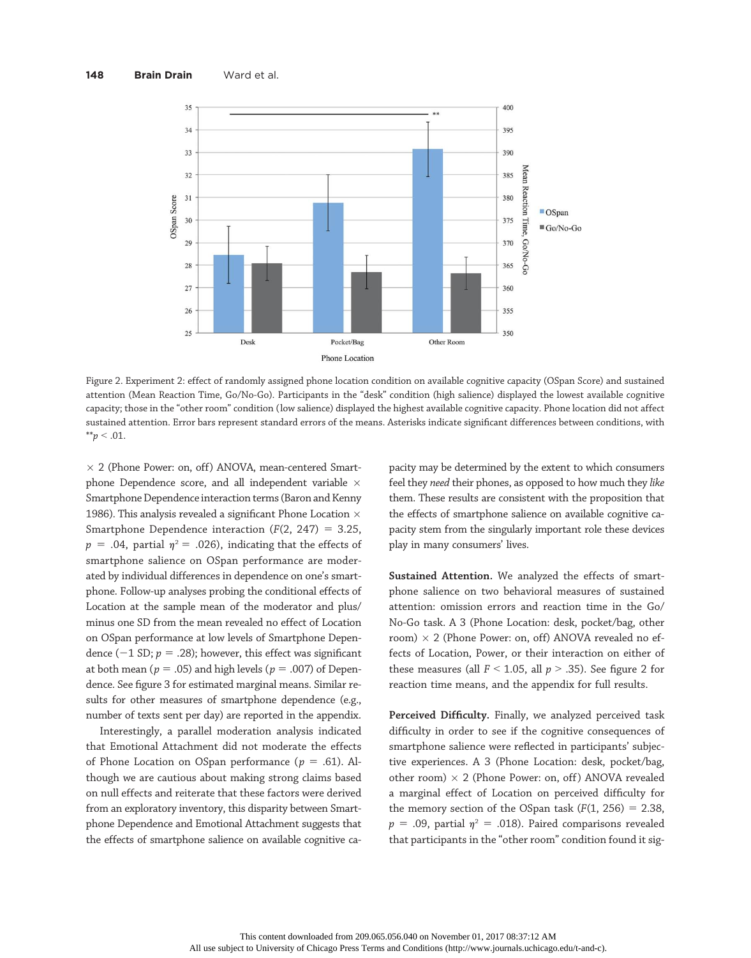

Figure 2. Experiment 2: effect of randomly assigned phone location condition on available cognitive capacity (OSpan Score) and sustained attention (Mean Reaction Time, Go/No-Go). Participants in the "desk" condition (high salience) displayed the lowest available cognitive capacity; those in the "other room" condition (low salience) displayed the highest available cognitive capacity. Phone location did not affect sustained attention. Error bars represent standard errors of the means. Asterisks indicate significant differences between conditions, with \*\* $p < .01$ .

 $\times$  2 (Phone Power: on, off) ANOVA, mean-centered Smartphone Dependence score, and all independent variable  $\times$ Smartphone Dependence interaction terms (Baron and Kenny 1986). This analysis revealed a significant Phone Location  $\times$ Smartphone Dependence interaction  $(F(2, 247) = 3.25,$  $p = .04$ , partial  $\eta^2 = .026$ ), indicating that the effects of smartphone salience on OSpan performance are moderated by individual differences in dependence on one's smartphone. Follow-up analyses probing the conditional effects of Location at the sample mean of the moderator and plus/ minus one SD from the mean revealed no effect of Location on OSpan performance at low levels of Smartphone Dependence (-1 SD;  $p = .28$ ); however, this effect was significant at both mean ( $p = .05$ ) and high levels ( $p = .007$ ) of Dependence. See figure 3 for estimated marginal means. Similar results for other measures of smartphone dependence (e.g., number of texts sent per day) are reported in the appendix.

Interestingly, a parallel moderation analysis indicated that Emotional Attachment did not moderate the effects of Phone Location on OSpan performance ( $p = .61$ ). Although we are cautious about making strong claims based on null effects and reiterate that these factors were derived from an exploratory inventory, this disparity between Smartphone Dependence and Emotional Attachment suggests that the effects of smartphone salience on available cognitive capacity may be determined by the extent to which consumers feel they need their phones, as opposed to how much they like them. These results are consistent with the proposition that the effects of smartphone salience on available cognitive capacity stem from the singularly important role these devices play in many consumers' lives.

Sustained Attention. We analyzed the effects of smartphone salience on two behavioral measures of sustained attention: omission errors and reaction time in the Go/ No-Go task. A 3 (Phone Location: desk, pocket/bag, other room)  $\times$  2 (Phone Power: on, off) ANOVA revealed no effects of Location, Power, or their interaction on either of these measures (all  $F < 1.05$ , all  $p > .35$ ). See figure 2 for reaction time means, and the appendix for full results.

Perceived Difficulty. Finally, we analyzed perceived task difficulty in order to see if the cognitive consequences of smartphone salience were reflected in participants' subjective experiences. A 3 (Phone Location: desk, pocket/bag, other room)  $\times$  2 (Phone Power: on, off) ANOVA revealed a marginal effect of Location on perceived difficulty for the memory section of the OSpan task  $(F(1, 256) = 2.38,$  $p = .09$ , partial  $\eta^2 = .018$ ). Paired comparisons revealed that participants in the "other room" condition found it sig-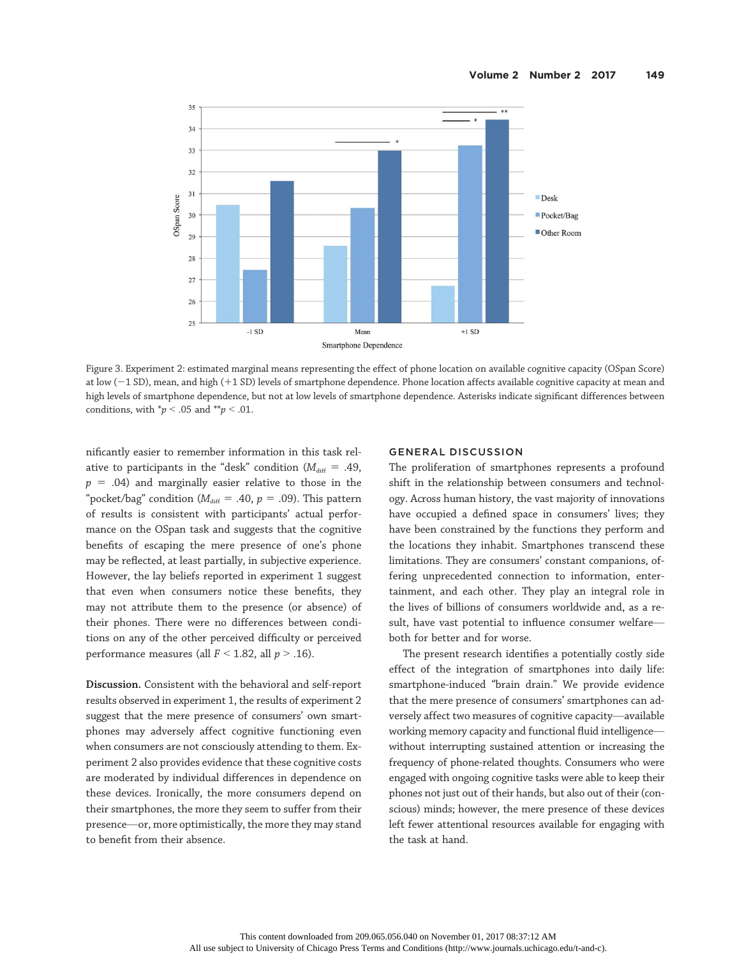

Figure 3. Experiment 2: estimated marginal means representing the effect of phone location on available cognitive capacity (OSpan Score) at low  $(-1 SD)$ , mean, and high  $(+1 SD)$  levels of smartphone dependence. Phone location affects available cognitive capacity at mean and high levels of smartphone dependence, but not at low levels of smartphone dependence. Asterisks indicate significant differences between conditions, with  $\frac{*}{p}$  < .05 and  $\frac{**}{p}$  < .01.

nificantly easier to remember information in this task relative to participants in the "desk" condition ( $M_{\text{diff}} = .49$ ,  $p = .04$ ) and marginally easier relative to those in the "pocket/bag" condition ( $M_{\text{diff}} = .40$ ,  $p = .09$ ). This pattern of results is consistent with participants' actual performance on the OSpan task and suggests that the cognitive benefits of escaping the mere presence of one's phone may be reflected, at least partially, in subjective experience. However, the lay beliefs reported in experiment 1 suggest that even when consumers notice these benefits, they may not attribute them to the presence (or absence) of their phones. There were no differences between conditions on any of the other perceived difficulty or perceived performance measures (all  $F < 1.82$ , all  $p > .16$ ).

Discussion. Consistent with the behavioral and self-report results observed in experiment 1, the results of experiment 2 suggest that the mere presence of consumers' own smartphones may adversely affect cognitive functioning even when consumers are not consciously attending to them. Experiment 2 also provides evidence that these cognitive costs are moderated by individual differences in dependence on these devices. Ironically, the more consumers depend on their smartphones, the more they seem to suffer from their presence—or, more optimistically, the more they may stand to benefit from their absence.

#### GENERAL DISCUSSION

The proliferation of smartphones represents a profound shift in the relationship between consumers and technology. Across human history, the vast majority of innovations have occupied a defined space in consumers' lives; they have been constrained by the functions they perform and the locations they inhabit. Smartphones transcend these limitations. They are consumers' constant companions, offering unprecedented connection to information, entertainment, and each other. They play an integral role in the lives of billions of consumers worldwide and, as a result, have vast potential to influence consumer welfare both for better and for worse.

The present research identifies a potentially costly side effect of the integration of smartphones into daily life: smartphone-induced "brain drain." We provide evidence that the mere presence of consumers' smartphones can adversely affect two measures of cognitive capacity—available working memory capacity and functional fluid intelligence without interrupting sustained attention or increasing the frequency of phone-related thoughts. Consumers who were engaged with ongoing cognitive tasks were able to keep their phones not just out of their hands, but also out of their (conscious) minds; however, the mere presence of these devices left fewer attentional resources available for engaging with the task at hand.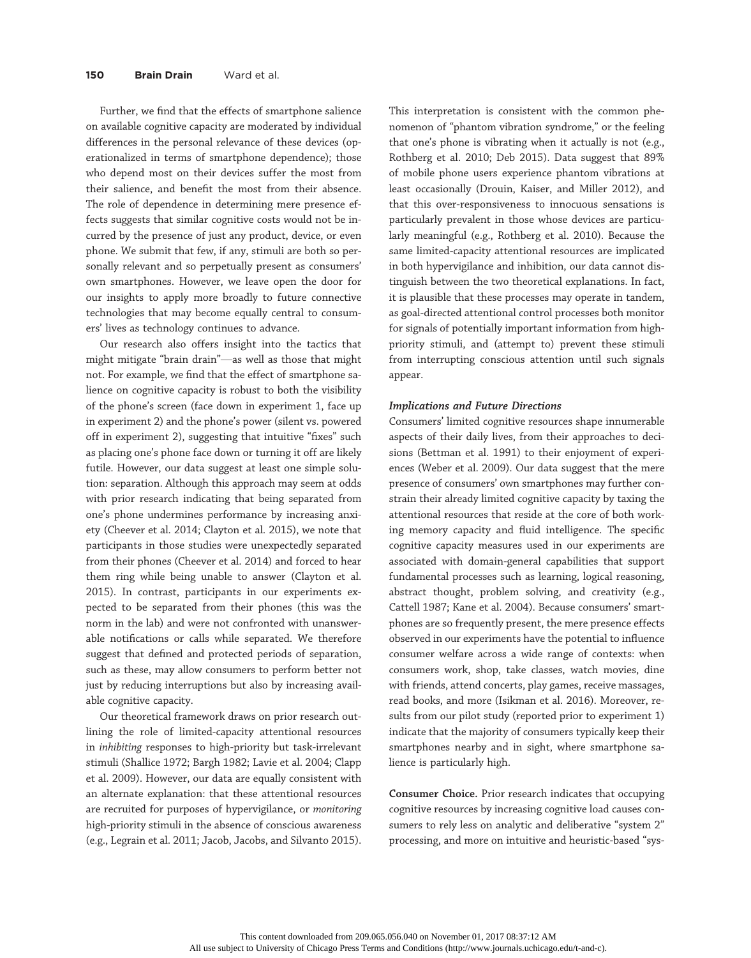Further, we find that the effects of smartphone salience on available cognitive capacity are moderated by individual differences in the personal relevance of these devices (operationalized in terms of smartphone dependence); those who depend most on their devices suffer the most from their salience, and benefit the most from their absence. The role of dependence in determining mere presence effects suggests that similar cognitive costs would not be incurred by the presence of just any product, device, or even phone. We submit that few, if any, stimuli are both so personally relevant and so perpetually present as consumers' own smartphones. However, we leave open the door for our insights to apply more broadly to future connective technologies that may become equally central to consumers' lives as technology continues to advance.

Our research also offers insight into the tactics that might mitigate "brain drain"—as well as those that might not. For example, we find that the effect of smartphone salience on cognitive capacity is robust to both the visibility of the phone's screen (face down in experiment 1, face up in experiment 2) and the phone's power (silent vs. powered off in experiment 2), suggesting that intuitive "fixes" such as placing one's phone face down or turning it off are likely futile. However, our data suggest at least one simple solution: separation. Although this approach may seem at odds with prior research indicating that being separated from one's phone undermines performance by increasing anxiety (Cheever et al. 2014; Clayton et al. 2015), we note that participants in those studies were unexpectedly separated from their phones (Cheever et al. 2014) and forced to hear them ring while being unable to answer (Clayton et al. 2015). In contrast, participants in our experiments expected to be separated from their phones (this was the norm in the lab) and were not confronted with unanswerable notifications or calls while separated. We therefore suggest that defined and protected periods of separation, such as these, may allow consumers to perform better not just by reducing interruptions but also by increasing available cognitive capacity.

Our theoretical framework draws on prior research outlining the role of limited-capacity attentional resources in inhibiting responses to high-priority but task-irrelevant stimuli (Shallice 1972; Bargh 1982; Lavie et al. 2004; Clapp et al. 2009). However, our data are equally consistent with an alternate explanation: that these attentional resources are recruited for purposes of hypervigilance, or monitoring high-priority stimuli in the absence of conscious awareness (e.g., Legrain et al. 2011; Jacob, Jacobs, and Silvanto 2015).

This interpretation is consistent with the common phenomenon of "phantom vibration syndrome," or the feeling that one's phone is vibrating when it actually is not (e.g., Rothberg et al. 2010; Deb 2015). Data suggest that 89% of mobile phone users experience phantom vibrations at least occasionally (Drouin, Kaiser, and Miller 2012), and that this over-responsiveness to innocuous sensations is particularly prevalent in those whose devices are particularly meaningful (e.g., Rothberg et al. 2010). Because the same limited-capacity attentional resources are implicated in both hypervigilance and inhibition, our data cannot distinguish between the two theoretical explanations. In fact, it is plausible that these processes may operate in tandem, as goal-directed attentional control processes both monitor for signals of potentially important information from highpriority stimuli, and (attempt to) prevent these stimuli from interrupting conscious attention until such signals appear.

#### Implications and Future Directions

Consumers' limited cognitive resources shape innumerable aspects of their daily lives, from their approaches to decisions (Bettman et al. 1991) to their enjoyment of experiences (Weber et al. 2009). Our data suggest that the mere presence of consumers' own smartphones may further constrain their already limited cognitive capacity by taxing the attentional resources that reside at the core of both working memory capacity and fluid intelligence. The specific cognitive capacity measures used in our experiments are associated with domain-general capabilities that support fundamental processes such as learning, logical reasoning, abstract thought, problem solving, and creativity (e.g., Cattell 1987; Kane et al. 2004). Because consumers' smartphones are so frequently present, the mere presence effects observed in our experiments have the potential to influence consumer welfare across a wide range of contexts: when consumers work, shop, take classes, watch movies, dine with friends, attend concerts, play games, receive massages, read books, and more (Isikman et al. 2016). Moreover, results from our pilot study (reported prior to experiment 1) indicate that the majority of consumers typically keep their smartphones nearby and in sight, where smartphone salience is particularly high.

Consumer Choice. Prior research indicates that occupying cognitive resources by increasing cognitive load causes consumers to rely less on analytic and deliberative "system 2" processing, and more on intuitive and heuristic-based "sys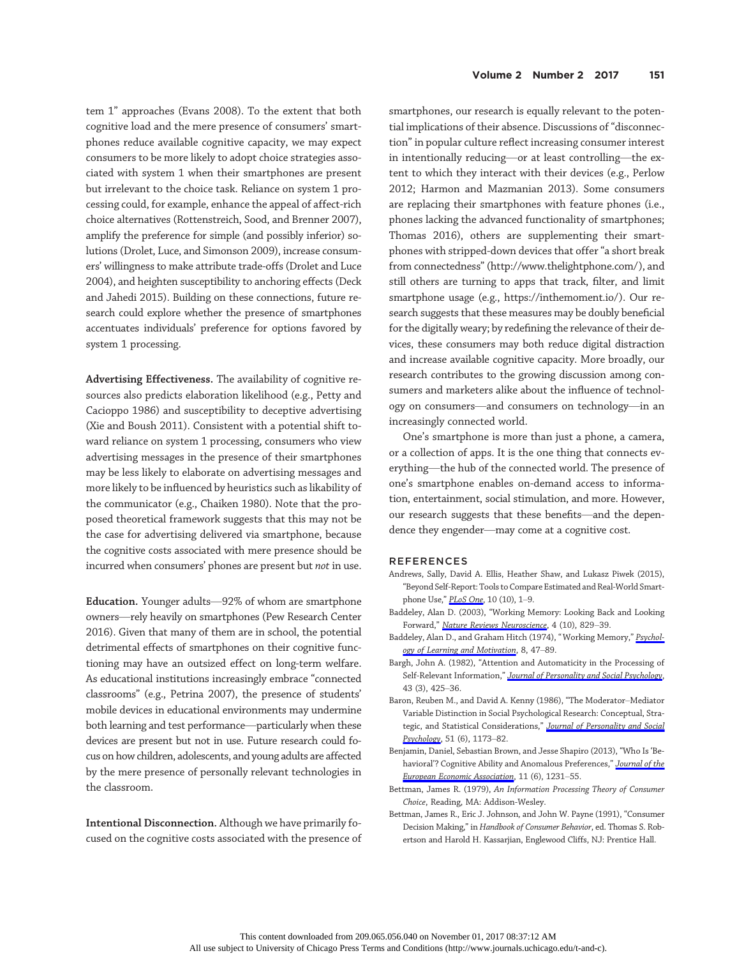tem 1" approaches (Evans 2008). To the extent that both cognitive load and the mere presence of consumers' smartphones reduce available cognitive capacity, we may expect consumers to be more likely to adopt choice strategies associated with system 1 when their smartphones are present but irrelevant to the choice task. Reliance on system 1 processing could, for example, enhance the appeal of affect-rich choice alternatives (Rottenstreich, Sood, and Brenner 2007), amplify the preference for simple (and possibly inferior) solutions (Drolet, Luce, and Simonson 2009), increase consumers' willingness to make attribute trade-offs (Drolet and Luce 2004), and heighten susceptibility to anchoring effects (Deck and Jahedi 2015). Building on these connections, future research could explore whether the presence of smartphones accentuates individuals' preference for options favored by system 1 processing.

Advertising Effectiveness. The availability of cognitive resources also predicts elaboration likelihood (e.g., Petty and Cacioppo 1986) and susceptibility to deceptive advertising (Xie and Boush 2011). Consistent with a potential shift toward reliance on system 1 processing, consumers who view advertising messages in the presence of their smartphones may be less likely to elaborate on advertising messages and more likely to be influenced by heuristics such as likability of the communicator (e.g., Chaiken 1980). Note that the proposed theoretical framework suggests that this may not be the case for advertising delivered via smartphone, because the cognitive costs associated with mere presence should be incurred when consumers' phones are present but not in use.

Education. Younger adults—92% of whom are smartphone owners—rely heavily on smartphones (Pew Research Center 2016). Given that many of them are in school, the potential detrimental effects of smartphones on their cognitive functioning may have an outsized effect on long-term welfare. As educational institutions increasingly embrace "connected classrooms" (e.g., Petrina 2007), the presence of students' mobile devices in educational environments may undermine both learning and test performance—particularly when these devices are present but not in use. Future research could focus on how children, adolescents, and young adults are affected by the mere presence of personally relevant technologies in the classroom.

Intentional Disconnection. Although we have primarily focused on the cognitive costs associated with the presence of

smartphones, our research is equally relevant to the potential implications of their absence. Discussions of "disconnection" in popular culture reflect increasing consumer interest in intentionally reducing—or at least controlling—the extent to which they interact with their devices (e.g., Perlow 2012; Harmon and Mazmanian 2013). Some consumers are replacing their smartphones with feature phones (i.e., phones lacking the advanced functionality of smartphones; Thomas 2016), others are supplementing their smartphones with stripped-down devices that offer"a short break from connectedness" (http://www.thelightphone.com/), and still others are turning to apps that track, filter, and limit smartphone usage (e.g., https://inthemoment.io/). Our research suggests that these measures may be doubly beneficial for the digitally weary; by redefining the relevance of their devices, these consumers may both reduce digital distraction and increase available cognitive capacity. More broadly, our research contributes to the growing discussion among consumers and marketers alike about the influence of technology on consumers—and consumers on technology—in an increasingly connected world.

One's smartphone is more than just a phone, a camera, or a collection of apps. It is the one thing that connects everything—the hub of the connected world. The presence of one's smartphone enables on-demand access to information, entertainment, social stimulation, and more. However, our research suggests that these benefits—and the dependence they engender—may come at a cognitive cost.

#### **REFERENCES**

- Andrews, Sally, David A. Ellis, Heather Shaw, and Lukasz Piwek (2015), "Beyond Self-Report: Tools to Compare Estimated and Real-World Smart-phone Use," [PLoS One](http://www.journals.uchicago.edu/action/showLinks?crossref=10.1371%2Fjournal.pone.0139004), 10 (10), 1-9.
- Baddeley, Alan D. (2003), "Working Memory: Looking Back and Looking Forward," [Nature Reviews Neuroscience](http://www.journals.uchicago.edu/action/showLinks?crossref=10.1038%2Fnrn1201), 4 (10), 829-39.
- Baddeley, Alan D., and Graham Hitch (1974), "Working Memory," [Psychol](http://www.journals.uchicago.edu/action/showLinks?crossref=10.1016%2FS0079-7421%2808%2960452-1)[ogy of Learning and Motivation](http://www.journals.uchicago.edu/action/showLinks?crossref=10.1016%2FS0079-7421%2808%2960452-1), 8, 47-89.
- Bargh, John A. (1982), "Attention and Automaticity in the Processing of Self-Relevant Information," [Journal of Personality and Social Psychology](http://www.journals.uchicago.edu/action/showLinks?crossref=10.1037%2F0022-3514.43.3.425), 43 (3), 425–36.
- Baron, Reuben M., and David A. Kenny (1986), "The Moderator–Mediator Variable Distinction in Social Psychological Research: Conceptual, Stra-tegic, and Statistical Considerations," [Journal of Personality and Social](http://www.journals.uchicago.edu/action/showLinks?crossref=10.1037%2F0022-3514.51.6.1173) [Psychology](http://www.journals.uchicago.edu/action/showLinks?crossref=10.1037%2F0022-3514.51.6.1173), 51 (6), 1173–82.
- Benjamin, Daniel, Sebastian Brown, and Jesse Shapiro (2013), "Who Is'Be-havioral'? Cognitive Ability and Anomalous Preferences," [Journal of the](http://www.journals.uchicago.edu/action/showLinks?crossref=10.1111%2Fjeea.12055) [European Economic Association](http://www.journals.uchicago.edu/action/showLinks?crossref=10.1111%2Fjeea.12055), 11 (6), 1231-55.
- Bettman, James R. (1979), An Information Processing Theory of Consumer Choice, Reading, MA: Addison-Wesley.
- Bettman, James R., Eric J. Johnson, and John W. Payne (1991), "Consumer Decision Making," in Handbook of Consumer Behavior, ed. Thomas S. Robertson and Harold H. Kassarjian, Englewood Cliffs, NJ: Prentice Hall.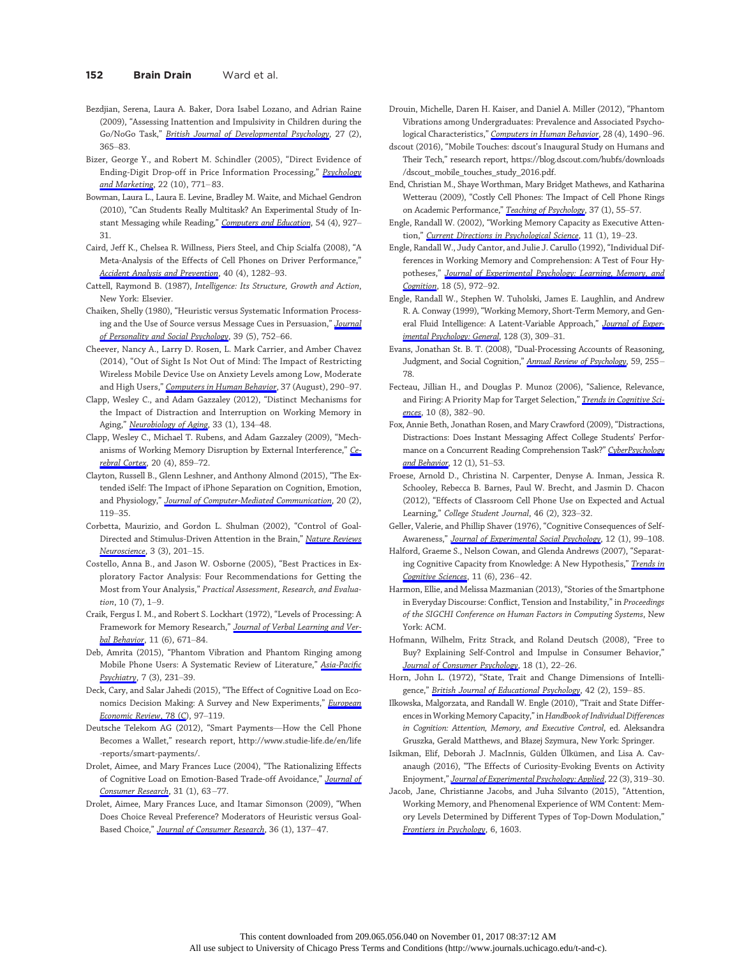- Bezdjian, Serena, Laura A. Baker, Dora Isabel Lozano, and Adrian Raine (2009), "Assessing Inattention and Impulsivity in Children during the Go/NoGo Task," [British Journal of Developmental Psychology](http://www.journals.uchicago.edu/action/showLinks?crossref=10.1348%2F026151008X314919), 27 (2), 365–83.
- Bizer, George Y., and Robert M. Schindler (2005), "Direct Evidence of Ending-Digit Drop-off in Price Information Processing," [Psychology](http://www.journals.uchicago.edu/action/showLinks?crossref=10.1002%2Fmar.20084) [and Marketing](http://www.journals.uchicago.edu/action/showLinks?crossref=10.1002%2Fmar.20084), 22 (10), 771-83.
- Bowman, Laura L., Laura E. Levine, Bradley M. Waite, and Michael Gendron (2010), "Can Students Really Multitask? An Experimental Study of In-stant Messaging while Reading," [Computers and Education](http://www.journals.uchicago.edu/action/showLinks?crossref=10.1016%2Fj.compedu.2009.09.024), 54 (4), 927-31.
- Caird, Jeff K., Chelsea R. Willness, Piers Steel, and Chip Scialfa (2008), "A Meta-Analysis of the Effects of Cell Phones on Driver Performance," [Accident Analysis and Prevention](http://www.journals.uchicago.edu/action/showLinks?crossref=10.1016%2Fj.aap.2008.01.009), 40 (4), 1282-93.
- Cattell, Raymond B. (1987), Intelligence: Its Structure, Growth and Action, New York: Elsevier.
- Chaiken, Shelly (1980), "Heuristic versus Systematic Information Process-ing and the Use of Source versus Message Cues in Persuasion," [Journal](http://www.journals.uchicago.edu/action/showLinks?crossref=10.1037%2F0022-3514.39.5.752) [of Personality and Social Psychology](http://www.journals.uchicago.edu/action/showLinks?crossref=10.1037%2F0022-3514.39.5.752), 39 (5), 752-66.
- Cheever, Nancy A., Larry D. Rosen, L. Mark Carrier, and Amber Chavez (2014), "Out of Sight Is Not Out of Mind: The Impact of Restricting Wireless Mobile Device Use on Anxiety Levels among Low, Moderate and High Users," [Computers in Human Behavior](http://www.journals.uchicago.edu/action/showLinks?crossref=10.1016%2Fj.chb.2014.05.002), 37 (August), 290-97.
- Clapp, Wesley C., and Adam Gazzaley (2012), "Distinct Mechanisms for the Impact of Distraction and Interruption on Working Memory in Aging," [Neurobiology of Aging](http://www.journals.uchicago.edu/action/showLinks?crossref=10.1016%2Fj.neurobiolaging.2010.01.012), 33 (1), 134-48.
- Clapp, Wesley C., Michael T. Rubens, and Adam Gazzaley (2009), "Mech-anisms of Working Memory Disruption by External Interference," [Ce](http://www.journals.uchicago.edu/action/showLinks?crossref=10.1093%2Fcercor%2Fbhp150)[rebral Cortex](http://www.journals.uchicago.edu/action/showLinks?crossref=10.1093%2Fcercor%2Fbhp150), 20 (4), 859-72.
- Clayton, Russell B., Glenn Leshner, and Anthony Almond (2015), "The Extended iSelf: The Impact of iPhone Separation on Cognition, Emotion, and Physiology," [Journal of Computer-Mediated Communication](http://www.journals.uchicago.edu/action/showLinks?crossref=10.1111%2Fjcc4.12109), 20 (2), 119–35.
- Corbetta, Maurizio, and Gordon L. Shulman (2002), "Control of Goal-Directed and Stimulus-Driven Attention in the Brain," [Nature Reviews](http://www.journals.uchicago.edu/action/showLinks?crossref=10.1038%2Fnrn755) [Neuroscience](http://www.journals.uchicago.edu/action/showLinks?crossref=10.1038%2Fnrn755), 3 (3), 201-15.
- Costello, Anna B., and Jason W. Osborne (2005), "Best Practices in Exploratory Factor Analysis: Four Recommendations for Getting the Most from Your Analysis," Practical Assessment, Research, and Evaluation, 10 (7), 1–9.
- Craik, Fergus I. M., and Robert S. Lockhart (1972), "Levels of Processing: A Framework for Memory Research," [Journal of Verbal Learning and Ver](http://www.journals.uchicago.edu/action/showLinks?crossref=10.1016%2FS0022-5371%2872%2980001-X)[bal Behavior](http://www.journals.uchicago.edu/action/showLinks?crossref=10.1016%2FS0022-5371%2872%2980001-X), 11 (6), 671-84.
- Deb, Amrita (2015), "Phantom Vibration and Phantom Ringing among Mobile Phone Users: A Systematic Review of Literature," [Asia-Paci](http://www.journals.uchicago.edu/action/showLinks?crossref=10.1111%2Fappy.12164)fic [Psychiatry](http://www.journals.uchicago.edu/action/showLinks?crossref=10.1111%2Fappy.12164), 7 (3), 231-39.
- Deck, Cary, and Salar Jahedi (2015), "The Effect of Cognitive Load on Eco-nomics Decision Making: A Survey and New Experiments," [European](http://www.journals.uchicago.edu/action/showLinks?crossref=10.1016%2Fj.euroecorev.2015.05.004) [Economic Review](http://www.journals.uchicago.edu/action/showLinks?crossref=10.1016%2Fj.euroecorev.2015.05.004), 78 (C), 97–119.
- Deutsche Telekom AG (2012), "Smart Payments—How the Cell Phone Becomes a Wallet," research report, http://www.studie-life.de/en/life -reports/smart-payments/.
- Drolet, Aimee, and Mary Frances Luce (2004), "The Rationalizing Effects of Cognitive Load on Emotion-Based Trade-off Avoidance," [Journal of](http://www.journals.uchicago.edu/action/showLinks?crossref=10.1086%2F383424) [Consumer Research](http://www.journals.uchicago.edu/action/showLinks?crossref=10.1086%2F383424), 31 (1), 63-77.
- Drolet, Aimee, Mary Frances Luce, and Itamar Simonson (2009), "When Does Choice Reveal Preference? Moderators of Heuristic versus Goal-Based Choice," [Journal of Consumer Research](http://www.journals.uchicago.edu/action/showLinks?crossref=10.1086%2F596305), 36 (1), 137-47.
- Drouin, Michelle, Daren H. Kaiser, and Daniel A. Miller (2012), "Phantom Vibrations among Undergraduates: Prevalence and Associated Psycho-logical Characteristics," [Computers in Human Behavior](http://www.journals.uchicago.edu/action/showLinks?crossref=10.1016%2Fj.chb.2012.03.013), 28 (4), 1490-96.
- dscout (2016), "Mobile Touches: dscout's Inaugural Study on Humans and Their Tech," research report, https://blog.dscout.com/hubfs/downloads /dscout\_mobile\_touches\_study\_2016.pdf.
- End, Christian M., Shaye Worthman, Mary Bridget Mathews, and Katharina Wetterau (2009), "Costly Cell Phones: The Impact of Cell Phone Rings on Academic Performance," [Teaching of Psychology](http://www.journals.uchicago.edu/action/showLinks?crossref=10.1080%2F00986280903425912), 37 (1), 55-57.
- Engle, Randall W. (2002), "Working Memory Capacity as Executive Atten-tion," [Current Directions in Psychological Science](http://www.journals.uchicago.edu/action/showLinks?crossref=10.1111%2F1467-8721.00160), 11 (1), 19-23.
- Engle, Randall W., Judy Cantor, and Julie J. Carullo (1992), "Individual Differences in Working Memory and Comprehension: A Test of Four Hy-potheses," [Journal of Experimental Psychology: Learning, Memory, and](http://www.journals.uchicago.edu/action/showLinks?crossref=10.1037%2F0278-7393.18.5.972) [Cognition](http://www.journals.uchicago.edu/action/showLinks?crossref=10.1037%2F0278-7393.18.5.972), 18 (5), 972-92.
- Engle, Randall W., Stephen W. Tuholski, James E. Laughlin, and Andrew R. A. Conway (1999), "Working Memory, Short-Term Memory, and Gen-eral Fluid Intelligence: A Latent-Variable Approach," [Journal of Exper](http://www.journals.uchicago.edu/action/showLinks?crossref=10.1037%2F0096-3445.128.3.309)[imental Psychology: General](http://www.journals.uchicago.edu/action/showLinks?crossref=10.1037%2F0096-3445.128.3.309), 128 (3), 309-31.
- Evans, Jonathan St. B. T. (2008), "Dual-Processing Accounts of Reasoning, Judgment, and Social Cognition," [Annual Review of Psychology](http://www.journals.uchicago.edu/action/showLinks?crossref=10.1146%2Fannurev.psych.59.103006.093629), 59, 255-78.
- Fecteau, Jillian H., and Douglas P. Munoz (2006), "Salience, Relevance, and Firing: A Priority Map for Target Selection," [Trends in Cognitive Sci](http://www.journals.uchicago.edu/action/showLinks?crossref=10.1016%2Fj.tics.2006.06.011)[ences](http://www.journals.uchicago.edu/action/showLinks?crossref=10.1016%2Fj.tics.2006.06.011), 10 (8), 382-90.
- Fox, Annie Beth, Jonathan Rosen, and Mary Crawford (2009), "Distractions, Distractions: Does Instant Messaging Affect College Students' Perfor-mance on a Concurrent Reading Comprehension Task?" [CyberPsychology](http://www.journals.uchicago.edu/action/showLinks?crossref=10.1089%2Fcpb.2008.0107) [and Behavior](http://www.journals.uchicago.edu/action/showLinks?crossref=10.1089%2Fcpb.2008.0107), 12 (1), 51-53.
- Froese, Arnold D., Christina N. Carpenter, Denyse A. Inman, Jessica R. Schooley, Rebecca B. Barnes, Paul W. Brecht, and Jasmin D. Chacon (2012), "Effects of Classroom Cell Phone Use on Expected and Actual Learning," College Student Journal, 46 (2), 323–32.
- Geller, Valerie, and Phillip Shaver (1976), "Cognitive Consequences of Self-Awareness," [Journal of Experimental Social Psychology](http://www.journals.uchicago.edu/action/showLinks?crossref=10.1016%2F0022-1031%2876%2990089-5), 12 (1), 99-108.
- Halford, Graeme S., Nelson Cowan, and Glenda Andrews (2007), "Separat-ing Cognitive Capacity from Knowledge: A New Hypothesis," [Trends in](http://www.journals.uchicago.edu/action/showLinks?crossref=10.1016%2Fj.tics.2007.04.001) [Cognitive Sciences](http://www.journals.uchicago.edu/action/showLinks?crossref=10.1016%2Fj.tics.2007.04.001), 11 (6), 236-42.
- Harmon, Ellie, and Melissa Mazmanian (2013), "Stories of the Smartphone in Everyday Discourse: Conflict, Tension and Instability," in Proceedings of the SIGCHI Conference on Human Factors in Computing Systems, New York: ACM.
- Hofmann, Wilhelm, Fritz Strack, and Roland Deutsch (2008), "Free to Buy? Explaining Self-Control and Impulse in Consumer Behavior," [Journal of Consumer Psychology](http://www.journals.uchicago.edu/action/showLinks?crossref=10.1016%2Fj.jcps.2007.10.005), 18 (1), 22-26.
- Horn, John L. (1972), "State, Trait and Change Dimensions of Intelli-gence," [British Journal of Educational Psychology](http://www.journals.uchicago.edu/action/showLinks?crossref=10.1111%2Fj.2044-8279.1972.tb00709.x), 42 (2), 159-85.
- Ilkowska, Malgorzata, and Randall W. Engle (2010), "Trait and State Differences in Working Memory Capacity,"in Handbook of Individual Differences in Cognition: Attention, Memory, and Executive Control, ed. Aleksandra Gruszka, Gerald Matthews, and Błazej Szymura, New York: Springer.
- Isikman, Elif, Deborah J. MacInnis, Gülden Ülkümen, and Lisa A. Cavanaugh (2016), "The Effects of Curiosity-Evoking Events on Activity Enjoyment," [Journal of Experimental Psychology: Applied](http://www.journals.uchicago.edu/action/showLinks?crossref=10.1037%2Fxap0000089), 22 (3), 319-30.
- Jacob, Jane, Christianne Jacobs, and Juha Silvanto (2015), "Attention, Working Memory, and Phenomenal Experience of WM Content: Memory Levels Determined by Different Types of Top-Down Modulation," [Frontiers in Psychology](http://www.journals.uchicago.edu/action/showLinks?crossref=10.3389%2Ffpsyg.2015.01603), 6, 1603.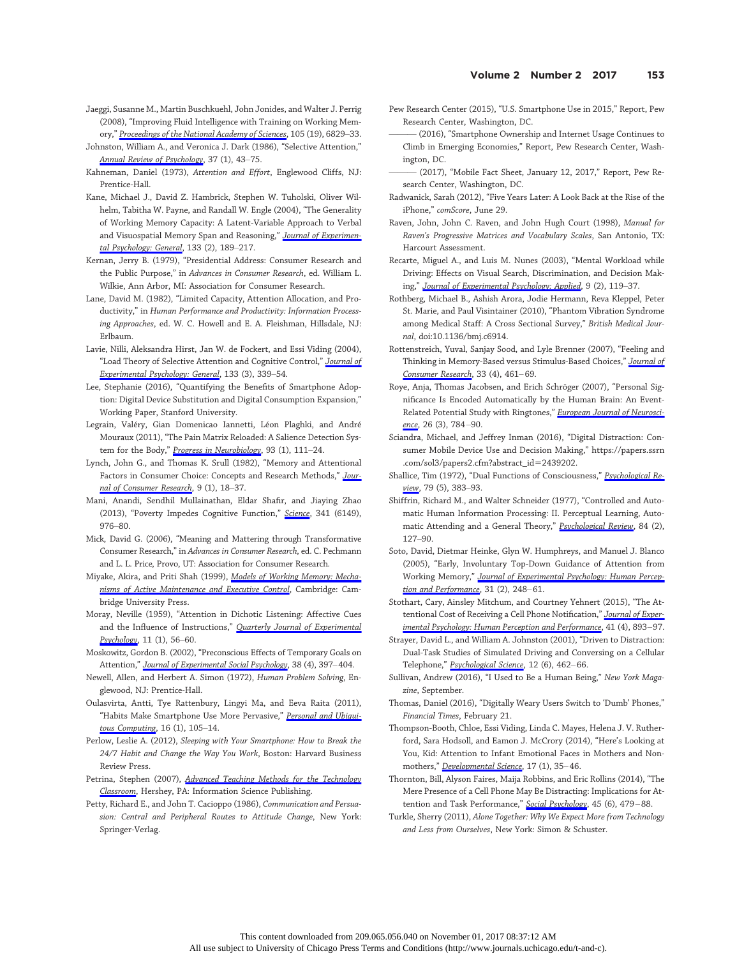- Jaeggi, Susanne M., Martin Buschkuehl, John Jonides, and Walter J. Perrig (2008), "Improving Fluid Intelligence with Training on Working Mem-ory," [Proceedings of the National Academy of Sciences](http://www.journals.uchicago.edu/action/showLinks?crossref=10.1073%2Fpnas.0801268105), 105 (19), 6829-33.
- Johnston, William A., and Veronica J. Dark (1986), "Selective Attention," [Annual Review of Psychology](http://www.journals.uchicago.edu/action/showLinks?crossref=10.1146%2Fannurev.ps.37.020186.000355), 37 (1), 43-75.
- Kahneman, Daniel (1973), Attention and Effort, Englewood Cliffs, NJ: Prentice-Hall.
- Kane, Michael J., David Z. Hambrick, Stephen W. Tuholski, Oliver Wilhelm, Tabitha W. Payne, and Randall W. Engle (2004), "The Generality of Working Memory Capacity: A Latent-Variable Approach to Verbal and Visuospatial Memory Span and Reasoning," [Journal of Experimen](http://www.journals.uchicago.edu/action/showLinks?crossref=10.1037%2F0096-3445.133.2.189)[tal Psychology: General](http://www.journals.uchicago.edu/action/showLinks?crossref=10.1037%2F0096-3445.133.2.189), 133 (2), 189-217.
- Kernan, Jerry B. (1979), "Presidential Address: Consumer Research and the Public Purpose," in Advances in Consumer Research, ed. William L. Wilkie, Ann Arbor, MI: Association for Consumer Research.
- Lane, David M. (1982), "Limited Capacity, Attention Allocation, and Productivity," in Human Performance and Productivity: Information Processing Approaches, ed. W. C. Howell and E. A. Fleishman, Hillsdale, NJ: Erlbaum.
- Lavie, Nilli, Aleksandra Hirst, Jan W. de Fockert, and Essi Viding (2004), "Load Theory of Selective Attention and Cognitive Control," [Journal of](http://www.journals.uchicago.edu/action/showLinks?crossref=10.1037%2F0096-3445.133.3.339) [Experimental Psychology: General](http://www.journals.uchicago.edu/action/showLinks?crossref=10.1037%2F0096-3445.133.3.339), 133 (3), 339-54.
- Lee, Stephanie (2016), "Quantifying the Benefits of Smartphone Adoption: Digital Device Substitution and Digital Consumption Expansion," Working Paper, Stanford University.
- Legrain, Valéry, Gian Domenicao Iannetti, Léon Plaghki, and André Mouraux (2011), "The Pain Matrix Reloaded: A Salience Detection Sys-tem for the Body," [Progress in Neurobiology](http://www.journals.uchicago.edu/action/showLinks?crossref=10.1016%2Fj.pneurobio.2010.10.005), 93 (1), 111-24.
- Lynch, John G., and Thomas K. Srull (1982), "Memory and Attentional Factors in Consumer Choice: Concepts and Research Methods," [Jour](http://www.journals.uchicago.edu/action/showLinks?crossref=10.1086%2F208893)[nal of Consumer Research](http://www.journals.uchicago.edu/action/showLinks?crossref=10.1086%2F208893), 9 (1), 18-37.
- Mani, Anandi, Sendhil Mullainathan, Eldar Shafir, and Jiaying Zhao (2013), "Poverty Impedes Cognitive Function," [Science](http://www.journals.uchicago.edu/action/showLinks?crossref=10.1126%2Fscience.1238041), 341 (6149), 976–80.
- Mick, David G. (2006), "Meaning and Mattering through Transformative Consumer Research," in Advances in Consumer Research, ed. C. Pechmann and L. L. Price, Provo, UT: Association for Consumer Research.
- Miyake, Akira, and Priti Shah (1999), [Models of Working Memory: Mecha](http://www.journals.uchicago.edu/action/showLinks?crossref=10.1017%2FCBO9781139174909)[nisms of Active Maintenance and Executive Control](http://www.journals.uchicago.edu/action/showLinks?crossref=10.1017%2FCBO9781139174909), Cambridge: Cambridge University Press.
- Moray, Neville (1959), "Attention in Dichotic Listening: Affective Cues and the Influence of Instructions," *[Quarterly Journal of Experimental](http://www.journals.uchicago.edu/action/showLinks?crossref=10.1080%2F17470215908416289)* [Psychology](http://www.journals.uchicago.edu/action/showLinks?crossref=10.1080%2F17470215908416289), 11 (1), 56-60.
- Moskowitz, Gordon B. (2002), "Preconscious Effects of Temporary Goals on Attention," [Journal of Experimental Social Psychology](http://www.journals.uchicago.edu/action/showLinks?crossref=10.1016%2FS0022-1031%2802%2900001-X), 38 (4), 397-404.
- Newell, Allen, and Herbert A. Simon (1972), Human Problem Solving, Englewood, NJ: Prentice-Hall.
- Oulasvirta, Antti, Tye Rattenbury, Lingyi Ma, and Eeva Raita (2011), "Habits Make Smartphone Use More Pervasive," [Personal and Ubiqui](http://www.journals.uchicago.edu/action/showLinks?crossref=10.1007%2Fs00779-011-0412-2)[tous Computing](http://www.journals.uchicago.edu/action/showLinks?crossref=10.1007%2Fs00779-011-0412-2), 16 (1), 105–14.
- Perlow, Leslie A. (2012), Sleeping with Your Smartphone: How to Break the 24/7 Habit and Change the Way You Work, Boston: Harvard Business Review Press.
- Petrina, Stephen (2007), *[Advanced Teaching Methods for the Technology](http://www.journals.uchicago.edu/action/showLinks?crossref=10.4018%2F978-1-59904-337-1)* [Classroom](http://www.journals.uchicago.edu/action/showLinks?crossref=10.4018%2F978-1-59904-337-1), Hershey, PA: Information Science Publishing.
- Petty, Richard E., and John T. Cacioppo (1986), Communication and Persuasion: Central and Peripheral Routes to Attitude Change, New York: Springer-Verlag.
- Pew Research Center (2015), "U.S. Smartphone Use in 2015," Report, Pew Research Center, Washington, DC.
- (2016), "Smartphone Ownership and Internet Usage Continues to Climb in Emerging Economies," Report, Pew Research Center, Washington, DC.
- (2017), "Mobile Fact Sheet, January 12, 2017," Report, Pew Research Center, Washington, DC.
- Radwanick, Sarah (2012), "Five Years Later: A Look Back at the Rise of the iPhone," comScore, June 29.
- Raven, John, John C. Raven, and John Hugh Court (1998), Manual for Raven's Progressive Matrices and Vocabulary Scales, San Antonio, TX: Harcourt Assessment.
- Recarte, Miguel A., and Luis M. Nunes (2003), "Mental Workload while Driving: Effects on Visual Search, Discrimination, and Decision Mak-ing," [Journal of Experimental Psychology: Applied](http://www.journals.uchicago.edu/action/showLinks?crossref=10.1037%2F1076-898X.9.2.119), 9 (2), 119-37.
- Rothberg, Michael B., Ashish Arora, Jodie Hermann, Reva Kleppel, Peter St. Marie, and Paul Visintainer (2010), "Phantom Vibration Syndrome among Medical Staff: A Cross Sectional Survey," British Medical Journal, doi:10.1136/bmj.c6914.
- Rottenstreich, Yuval, Sanjay Sood, and Lyle Brenner (2007), "Feeling and Thinking in Memory-Based versus Stimulus-Based Choices," [Journal of](http://www.journals.uchicago.edu/action/showLinks?crossref=10.1086%2F510219) [Consumer Research](http://www.journals.uchicago.edu/action/showLinks?crossref=10.1086%2F510219), 33 (4), 461-69.
- Roye, Anja, Thomas Jacobsen, and Erich Schröger (2007), "Personal Significance Is Encoded Automatically by the Human Brain: An Event-Related Potential Study with Ringtones," [European Journal of Neurosci](http://www.journals.uchicago.edu/action/showLinks?crossref=10.1111%2Fj.1460-9568.2007.05685.x)[ence](http://www.journals.uchicago.edu/action/showLinks?crossref=10.1111%2Fj.1460-9568.2007.05685.x), 26 (3), 784–90.
- Sciandra, Michael, and Jeffrey Inman (2016), "Digital Distraction: Consumer Mobile Device Use and Decision Making," https://papers.ssrn .com/sol3/papers2.cfm?abstract\_id=2439202.
- Shallice, Tim (1972), "Dual Functions of Consciousness," [Psychological Re](http://www.journals.uchicago.edu/action/showLinks?crossref=10.1037%2Fh0033135)[view](http://www.journals.uchicago.edu/action/showLinks?crossref=10.1037%2Fh0033135), 79 (5), 383–93.
- Shiffrin, Richard M., and Walter Schneider (1977), "Controlled and Automatic Human Information Processing: II. Perceptual Learning, Auto-matic Attending and a General Theory," [Psychological Review](http://www.journals.uchicago.edu/action/showLinks?crossref=10.1037%2F0033-295X.84.2.127), 84 (2), 127–90.
- Soto, David, Dietmar Heinke, Glyn W. Humphreys, and Manuel J. Blanco (2005), "Early, Involuntary Top-Down Guidance of Attention from Working Memory," [Journal of Experimental Psychology: Human Percep](http://www.journals.uchicago.edu/action/showLinks?crossref=10.1037%2F0096-1523.31.2.248)[tion and Performance](http://www.journals.uchicago.edu/action/showLinks?crossref=10.1037%2F0096-1523.31.2.248), 31 (2), 248-61.
- Stothart, Cary, Ainsley Mitchum, and Courtney Yehnert (2015), "The At-tentional Cost of Receiving a Cell Phone Notification," [Journal of Exper](http://www.journals.uchicago.edu/action/showLinks?crossref=10.1037%2Fxhp0000100)[imental Psychology: Human Perception and Performance](http://www.journals.uchicago.edu/action/showLinks?crossref=10.1037%2Fxhp0000100), 41 (4), 893-97.
- Strayer, David L., and William A. Johnston (2001), "Driven to Distraction: Dual-Task Studies of Simulated Driving and Conversing on a Cellular Telephone," [Psychological Science](http://www.journals.uchicago.edu/action/showLinks?crossref=10.1111%2F1467-9280.00386), 12 (6), 462-66.
- Sullivan, Andrew (2016), "I Used to Be a Human Being," New York Magazine, September.
- Thomas, Daniel (2016), "Digitally Weary Users Switch to 'Dumb' Phones," Financial Times, February 21.
- Thompson-Booth, Chloe, Essi Viding, Linda C. Mayes, Helena J. V. Rutherford, Sara Hodsoll, and Eamon J. McCrory (2014), "Here's Looking at You, Kid: Attention to Infant Emotional Faces in Mothers and Non-mothers," [Developmental Science](http://www.journals.uchicago.edu/action/showLinks?crossref=10.1111%2Fdesc.12090), 17 (1), 35-46.
- Thornton, Bill, Alyson Faires, Maija Robbins, and Eric Rollins (2014), "The Mere Presence of a Cell Phone May Be Distracting: Implications for At-tention and Task Performance," [Social Psychology](http://www.journals.uchicago.edu/action/showLinks?crossref=10.1027%2F1864-9335%2Fa000216), 45 (6), 479-88.
- Turkle, Sherry (2011), Alone Together: Why We Expect More from Technology and Less from Ourselves, New York: Simon & Schuster.